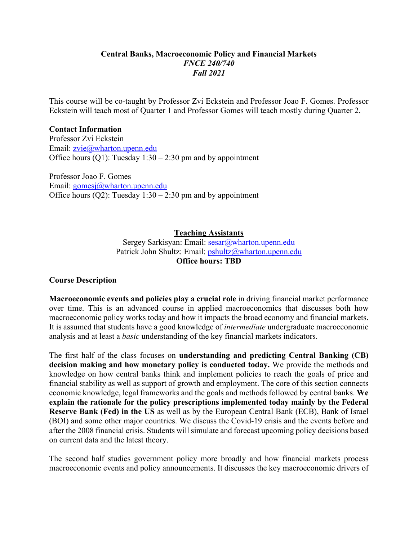#### **Central Banks, Macroeconomic Policy and Financial Markets** *FNCE 240/740 Fall 2021*

This course will be co-taught by Professor Zvi Eckstein and Professor Joao F. Gomes. Professor Eckstein will teach most of Quarter 1 and Professor Gomes will teach mostly during Quarter 2.

#### **Contact Information**

Professor Zvi Eckstein Email: zvie@wharton.upenn.edu Office hours (Q1): Tuesday  $1:30 - 2:30$  pm and by appointment

Professor Joao F. Gomes Email: gomesj@wharton.upenn.edu Office hours (Q2): Tuesday  $1:30 - 2:30$  pm and by appointment

#### **Teaching Assistants**

Sergey Sarkisyan: Email: sesar@wharton.upenn.edu Patrick John Shultz: Email: pshultz@wharton.upenn.edu **Office hours: TBD**

#### **Course Description**

**Macroeconomic events and policies play a crucial role** in driving financial market performance over time. This is an advanced course in applied macroeconomics that discusses both how macroeconomic policy works today and how it impacts the broad economy and financial markets. It is assumed that students have a good knowledge of *intermediate* undergraduate macroeconomic analysis and at least a *basic* understanding of the key financial markets indicators.

The first half of the class focuses on **understanding and predicting Central Banking (CB) decision making and how monetary policy is conducted today.** We provide the methods and knowledge on how central banks think and implement policies to reach the goals of price and financial stability as well as support of growth and employment. The core of this section connects economic knowledge, legal frameworks and the goals and methods followed by central banks. **We explain the rationale for the policy prescriptions implemented today mainly by the Federal Reserve Bank (Fed) in the US** as well as by the European Central Bank (ECB), Bank of Israel (BOI) and some other major countries. We discuss the Covid-19 crisis and the events before and after the 2008 financial crisis. Students will simulate and forecast upcoming policy decisions based on current data and the latest theory.

The second half studies government policy more broadly and how financial markets process macroeconomic events and policy announcements. It discusses the key macroeconomic drivers of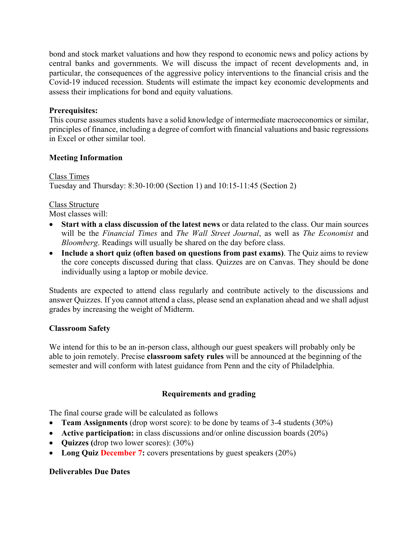bond and stock market valuations and how they respond to economic news and policy actions by central banks and governments. We will discuss the impact of recent developments and, in particular, the consequences of the aggressive policy interventions to the financial crisis and the Covid-19 induced recession. Students will estimate the impact key economic developments and assess their implications for bond and equity valuations.

#### **Prerequisites:**

This course assumes students have a solid knowledge of intermediate macroeconomics or similar, principles of finance, including a degree of comfort with financial valuations and basic regressions in Excel or other similar tool.

#### **Meeting Information**

Class Times Tuesday and Thursday: 8:30-10:00 (Section 1) and 10:15-11:45 (Section 2)

#### Class Structure

Most classes will:

- **Start with a class discussion of the latest news** or data related to the class. Our main sources will be the *Financial Times* and *The Wall Street Journal*, as well as *The Economist* and *Bloomberg*. Readings will usually be shared on the day before class.
- **Include a short quiz (often based on questions from past exams)**. The Quiz aims to review the core concepts discussed during that class. Quizzes are on Canvas. They should be done individually using a laptop or mobile device.

Students are expected to attend class regularly and contribute actively to the discussions and answer Quizzes. If you cannot attend a class, please send an explanation ahead and we shall adjust grades by increasing the weight of Midterm.

#### **Classroom Safety**

We intend for this to be an in-person class, although our guest speakers will probably only be able to join remotely. Precise **classroom safety rules** will be announced at the beginning of the semester and will conform with latest guidance from Penn and the city of Philadelphia.

#### **Requirements and grading**

The final course grade will be calculated as follows

- **Team Assignments** (drop worst score): to be done by teams of 3-4 students (30%)
- **Active participation:** in class discussions and/or online discussion boards (20%)
- **Quizzes (**drop two lower scores): (30%)
- Long Quiz **December 7:** covers presentations by guest speakers (20%)

#### **Deliverables Due Dates**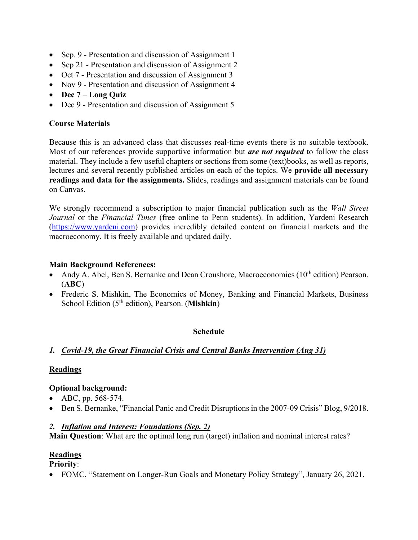- Sep. 9 Presentation and discussion of Assignment 1
- Sep 21 Presentation and discussion of Assignment 2
- Oct 7 Presentation and discussion of Assignment 3
- Nov 9 Presentation and discussion of Assignment 4
- **Dec 7 Long Quiz**
- Dec 9 Presentation and discussion of Assignment 5

#### **Course Materials**

Because this is an advanced class that discusses real-time events there is no suitable textbook. Most of our references provide supportive information but *are not required* to follow the class material. They include a few useful chapters or sections from some (text)books, as well as reports, lectures and several recently published articles on each of the topics. We **provide all necessary readings and data for the assignments.** Slides, readings and assignment materials can be found on Canvas.

We strongly recommend a subscription to major financial publication such as the *Wall Street Journal* or the *Financial Times* (free online to Penn students). In addition, Yardeni Research (https://www.yardeni.com) provides incredibly detailed content on financial markets and the macroeconomy. It is freely available and updated daily.

#### **Main Background References:**

- Andy A. Abel, Ben S. Bernanke and Dean Croushore, Macroeconomics  $(10<sup>th</sup>$  edition) Pearson. (**ABC**)
- Frederic S. Mishkin, The Economics of Money, Banking and Financial Markets, Business School Edition (5th edition), Pearson. (**Mishkin**)

#### **Schedule**

#### *1. Covid-19, the Great Financial Crisis and Central Banks Intervention (Aug 31)*

#### **Readings**

#### **Optional background:**

- ABC, pp. 568-574.
- Ben S. Bernanke, "Financial Panic and Credit Disruptions in the 2007-09 Crisis" Blog, 9/2018.

#### *2. Inflation and Interest: Foundations (Sep. 2)*

**Main Question**: What are the optimal long run (target) inflation and nominal interest rates?

#### **Readings**

**Priority**:

• FOMC, "Statement on Longer-Run Goals and Monetary Policy Strategy", January 26, 2021.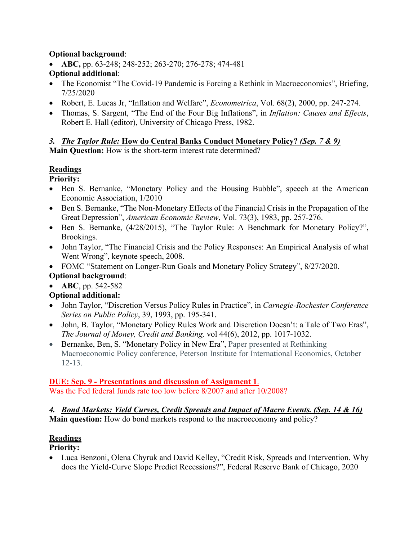#### **Optional background**:

- **ABC,** pp. 63-248; 248-252; 263-270; 276-278; 474-481 **Optional additional**:
- The Economist "The Covid-19 Pandemic is Forcing a Rethink in Macroeconomics", Briefing, 7/25/2020
- Robert, E. Lucas Jr, "Inflation and Welfare", *Econometrica*, Vol. 68(2), 2000, pp. 247-274.
- Thomas, S. Sargent, "The End of the Four Big Inflations", in *Inflation: Causes and Effects*, Robert E. Hall (editor), University of Chicago Press, 1982.

#### *3. The Taylor Rule:* **How do Central Banks Conduct Monetary Policy?** *(Sep. 7 & 9)*

**Main Question:** How is the short-term interest rate determined?

## **Readings**

**Priority:**

- Ben S. Bernanke, "Monetary Policy and the Housing Bubble", speech at the American Economic Association, 1/2010
- Ben S. Bernanke, "The Non-Monetary Effects of the Financial Crisis in the Propagation of the Great Depression", *American Economic Review*, Vol. 73(3), 1983, pp. 257-276.
- Ben S. Bernanke, (4/28/2015), "The Taylor Rule: A Benchmark for Monetary Policy?", Brookings.
- John Taylor, "The Financial Crisis and the Policy Responses: An Empirical Analysis of what Went Wrong", keynote speech, 2008.
- FOMC "Statement on Longer-Run Goals and Monetary Policy Strategy", 8/27/2020.

#### **Optional background**:

• **ABC**, pp. 542-582

## **Optional additional:**

- John Taylor, "Discretion Versus Policy Rules in Practice", in *Carnegie-Rochester Conference Series on Public Policy*, 39, 1993, pp. 195-341.
- John, B. Taylor, "Monetary Policy Rules Work and Discretion Doesn't: a Tale of Two Eras", *The Journal of Money, Credit and Banking,* vol 44(6), 2012, pp. 1017-1032.
- Bernanke, Ben, S. "Monetary Policy in New Era", Paper presented at Rethinking Macroeconomic Policy conference, Peterson Institute for International Economics, October 12-13.

#### **DUE: Sep. 9 - Presentations and discussion of Assignment 1**.

Was the Fed federal funds rate too low before 8/2007 and after 10/2008?

#### *4. Bond Markets: Yield Curves, Credit Spreads and Impact of Macro Events. (Sep. 14 & 16)* **Main question:** How do bond markets respond to the macroeconomy and policy?

## **Readings**

**Priority:**

• Luca Benzoni, Olena Chyruk and David Kelley, "Credit Risk, Spreads and Intervention. Why does the Yield-Curve Slope Predict Recessions?", Federal Reserve Bank of Chicago, 2020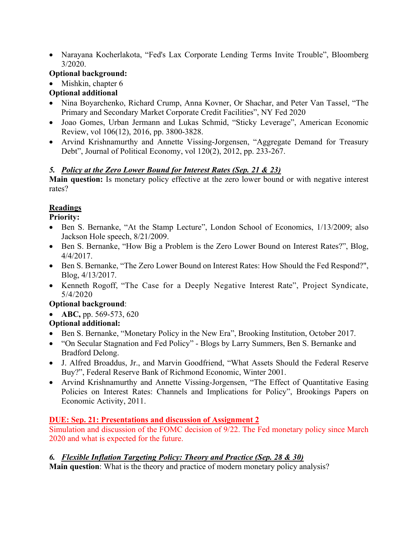• Narayana Kocherlakota, "Fed's Lax Corporate Lending Terms Invite Trouble", Bloomberg 3/2020.

## **Optional background:**

• Mishkin, chapter 6

# **Optional additional**

- Nina Boyarchenko, Richard Crump, Anna Kovner, Or Shachar, and Peter Van Tassel, "The Primary and Secondary Market Corporate Credit Facilities", NY Fed 2020
- Joao Gomes, Urban Jermann and Lukas Schmid, "Sticky Leverage", American Economic Review, vol 106(12), 2016, pp. 3800-3828.
- Arvind Krishnamurthy and Annette Vissing-Jorgensen, "Aggregate Demand for Treasury Debt", Journal of Political Economy, vol 120(2), 2012, pp. 233-267.

## *5. Policy at the Zero Lower Bound for Interest Rates (Sep. 21 & 23)*

**Main question:** Is monetary policy effective at the zero lower bound or with negative interest rates?

# **Readings**

**Priority:**

- Ben S. Bernanke, "At the Stamp Lecture", London School of Economics, 1/13/2009; also Jackson Hole speech, 8/21/2009.
- Ben S. Bernanke, "How Big a Problem is the Zero Lower Bound on Interest Rates?", Blog, 4/4/2017.
- Ben S. Bernanke, "The Zero Lower Bound on Interest Rates: How Should the Fed Respond?", Blog, 4/13/2017.
- Kenneth Rogoff, "The Case for a Deeply Negative Interest Rate", Project Syndicate, 5/4/2020

## **Optional background**:

• **ABC,** pp. 569-573, 620

# **Optional additional:**

- Ben S. Bernanke, "Monetary Policy in the New Era", Brooking Institution, October 2017.
- "On Secular Stagnation and Fed Policy" Blogs by Larry Summers, Ben S. Bernanke and Bradford Delong.
- J. Alfred Broaddus, Jr., and Marvin Goodfriend, "What Assets Should the Federal Reserve Buy?", Federal Reserve Bank of Richmond Economic, Winter 2001.
- Arvind Krishnamurthy and Annette Vissing-Jorgensen, "The Effect of Quantitative Easing Policies on Interest Rates: Channels and Implications for Policy", Brookings Papers on Economic Activity, 2011.

## **DUE: Sep. 21: Presentations and discussion of Assignment 2**

Simulation and discussion of the FOMC decision of 9/22. The Fed monetary policy since March 2020 and what is expected for the future.

## *6. Flexible Inflation Targeting Policy: Theory and Practice (Sep. 28 & 30)*

**Main question**: What is the theory and practice of modern monetary policy analysis?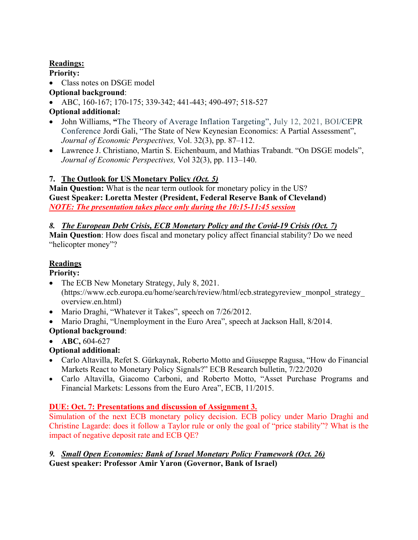## **Readings:**

**Priority:** 

- Class notes on DSGE model
- **Optional background**:
- ABC, 160-167; 170-175; 339-342; 441-443; 490-497; 518-527
- **Optional additional:**
- John Williams, **"**The Theory of Average Inflation Targeting", July 12, 2021, BOI/CEPR Conference Jordi Gali, "The State of New Keynesian Economics: A Partial Assessment", *Journal of Economic Perspectives,* Vol. 32(3), pp. 87–112.
- Lawrence J. Christiano, Martin S. Eichenbaum, and Mathias Trabandt. "On DSGE models", *Journal of Economic Perspectives,* Vol 32(3), pp. 113–140.

# **7. The Outlook for US Monetary Policy** *(Oct. 5)*

**Main Question:** What is the near term outlook for monetary policy in the US? **Guest Speaker: Loretta Mester (President, Federal Reserve Bank of Cleveland)** *NOTE: The presentation takes place only during the 10:15-11:45 session*

# *8. The European Debt Crisis, ECB Monetary Policy and the Covid-19 Crisis (Oct. 7)*

**Main Question**: How does fiscal and monetary policy affect financial stability? Do we need "helicopter money"?

# **Readings**

## **Priority:**

- The ECB New Monetary Strategy, July 8, 2021. (https://www.ecb.europa.eu/home/search/review/html/ecb.strategyreview\_monpol\_strategy\_ overview.en.html)
- Mario Draghi, "Whatever it Takes", speech on 7/26/2012.
- Mario Draghi, "Unemployment in the Euro Area", speech at Jackson Hall, 8/2014.

# **Optional background**:

• **ABC,** 604-627

# **Optional additional:**

- Carlo Altavilla, Refet S. Gürkaynak, Roberto Motto and Giuseppe Ragusa, "How do Financial Markets React to Monetary Policy Signals?" ECB Research bulletin, 7/22/2020
- Carlo Altavilla, Giacomo Carboni, and Roberto Motto, "Asset Purchase Programs and Financial Markets: Lessons from the Euro Area", ECB, 11/2015.

# **DUE: Oct. 7: Presentations and discussion of Assignment 3.**

Simulation of the next ECB monetary policy decision. ECB policy under Mario Draghi and Christine Lagarde: does it follow a Taylor rule or only the goal of "price stability"? What is the impact of negative deposit rate and ECB QE?

#### *9. Small Open Economies: Bank of Israel Monetary Policy Framework (Oct. 26)* **Guest speaker: Professor Amir Yaron (Governor, Bank of Israel)**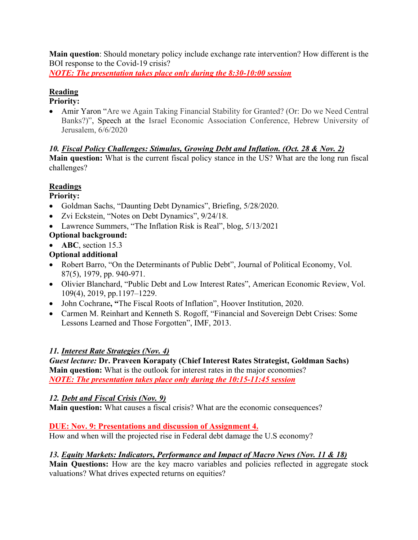**Main question**: Should monetary policy include exchange rate intervention? How different is the BOI response to the Covid-19 crisis?

*NOTE: The presentation takes place only during the 8:30-10:00 session*

## **Reading**

#### **Priority:**

• Amir Yaron "Are we Again Taking Financial Stability for Granted? (Or: Do we Need Central Banks?)", Speech at the Israel Economic Association Conference, Hebrew University of Jerusalem, 6/6/2020

#### *10. Fiscal Policy Challenges: Stimulus, Growing Debt and Inflation. (Oct. 28 & Nov. 2)*

**Main question:** What is the current fiscal policy stance in the US? What are the long run fiscal challenges?

## **Readings**

#### **Priority:**

- Goldman Sachs, "Daunting Debt Dynamics", Briefing, 5/28/2020.
- Zvi Eckstein, "Notes on Debt Dynamics", 9/24/18.
- Lawrence Summers, "The Inflation Risk is Real", blog, 5/13/2021
- **Optional background:**
- **ABC**, section 15.3

## **Optional additional**

- Robert Barro, "On the Determinants of Public Debt", Journal of Political Economy, Vol. 87(5), 1979, pp. 940-971.
- Olivier Blanchard, "Public Debt and Low Interest Rates", American Economic Review, Vol. 109(4), 2019, pp.1197–1229.
- John Cochrane**, "**The Fiscal Roots of Inflation", Hoover Institution, 2020.
- Carmen M. Reinhart and Kenneth S. Rogoff, "Financial and Sovereign Debt Crises: Some Lessons Learned and Those Forgotten", IMF, 2013.

#### *11. Interest Rate Strategies (Nov. 4)*

*Guest lecture:* **Dr. Praveen Korapaty (Chief Interest Rates Strategist, Goldman Sachs) Main question:** What is the outlook for interest rates in the major economies? *NOTE: The presentation takes place only during the 10:15-11:45 session*

#### *12. Debt and Fiscal Crisis (Nov. 9)*

**Main question:** What causes a fiscal crisis? What are the economic consequences?

#### **DUE: Nov. 9: Presentations and discussion of Assignment 4.**

How and when will the projected rise in Federal debt damage the U.S economy?

#### *13. Equity Markets: Indicators, Performance and Impact of Macro News (Nov. 11 & 18)*

**Main Questions:** How are the key macro variables and policies reflected in aggregate stock valuations? What drives expected returns on equities?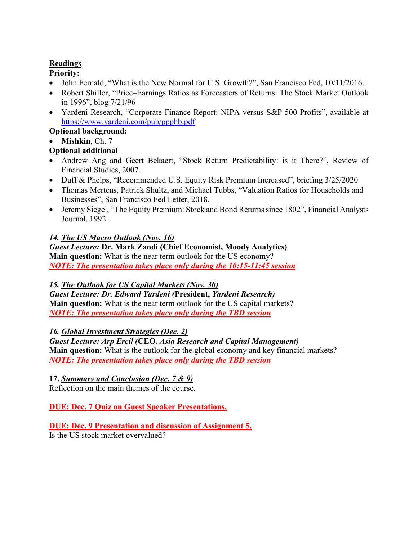### **Readings**

## **Priority:**

- John Fernald, "What is the New Normal for U.S. Growth?", San Francisco Fed, 10/11/2016.
- Robert Shiller, "Price–Earnings Ratios as Forecasters of Returns: The Stock Market Outlook in 1996", blog 7/21/96
- Yardeni Research, "Corporate Finance Report: NIPA versus S&P 500 Profits", available at https://www.yardeni.com/pub/ppphb.pdf

**Optional background:**

• **Mishkin**, Ch. 7

# **Optional additional**

- Andrew Ang and Geert Bekaert, "Stock Return Predictability: is it There?", Review of Financial Studies, 2007.
- Duff & Phelps, "Recommended U.S. Equity Risk Premium Increased", briefing 3/25/2020
- Thomas Mertens, Patrick Shultz, and Michael Tubbs, "Valuation Ratios for Households and Businesses", San Francisco Fed Letter, 2018.
- Jeremy Siegel, "The Equity Premium: Stock and Bond Returns since 1802", Financial Analysts Journal, 1992.

# *14. The US Macro Outlook (Nov. 16)*

*Guest Lecture:* **Dr. Mark Zandi (Chief Economist, Moody Analytics) Main question:** What is the near term outlook for the US economy? *NOTE: The presentation takes place only during the 10:15-11:45 session*

## *15. The Outlook for US Capital Markets (Nov. 30)*

*Guest Lecture: Dr. Edward Yardeni (***President,** *Yardeni Research)* **Main question:** What is the near term outlook for the US capital markets? *NOTE: The presentation takes place only during the TBD session*

## *16. Global Investment Strategies (Dec. 2)*

*Guest Lecture: Arp Ercil (***CEO,** *Asia Research and Capital Management)* **Main question:** What is the outlook for the global economy and key financial markets? *NOTE: The presentation takes place only during the TBD session*

## **17.** *Summary and Conclusion (Dec. 7 & 9)*

Reflection on the main themes of the course.

## **DUE: Dec. 7 Quiz on Guest Speaker Presentations.**

# **DUE: Dec. 9 Presentation and discussion of Assignment 5.**

Is the US stock market overvalued?